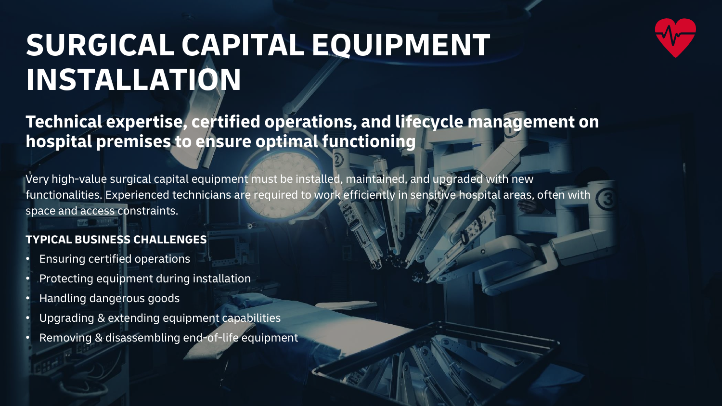

# **SURGICAL CAPITAL EQUIPMENT INSTALLATION**

**Technical expertise, certified operations, and lifecycle management on hospital premises to ensure optimal functioning**

Very high-value surgical capital equipment must be installed, maintained, and upgraded with new functionalities. Experienced technicians are required to work efficiently in sensitive hospital areas, often with space and access constraints.

### **TYPICAL BUSINESS CHALLENGES**

- Ensuring certified operations
- Protecting equipment during installation
- Handling dangerous goods
- Upgrading & extending equipment capabilities
- Removing & disassembling end-of-life equipment